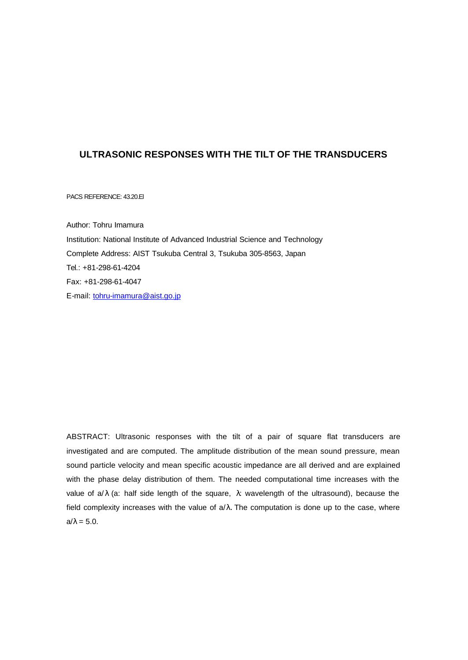## **ULTRASONIC RESPONSES WITH THE TILT OF THE TRANSDUCERS**

PACS REFERENCE: 43.20.El

Author: Tohru Imamura Institution: National Institute of Advanced Industrial Science and Technology Complete Address: AIST Tsukuba Central 3, Tsukuba 305-8563, Japan Tel.: +81-298-61-4204 Fax: +81-298-61-4047 E-mail: tohru-imamura@aist.go.jp

ABSTRACT: Ultrasonic responses with the tilt of a pair of square flat transducers are investigated and are computed. The amplitude distribution of the mean sound pressure, mean sound particle velocity and mean specific acoustic impedance are all derived and are explained with the phase delay distribution of them. The needed computational time increases with the value of  $a/\lambda$  (a: half side length of the square,  $\lambda$ : wavelength of the ultrasound), because the field complexity increases with the value of  $a/\lambda$ . The computation is done up to the case, where  $a/\lambda = 5.0$ .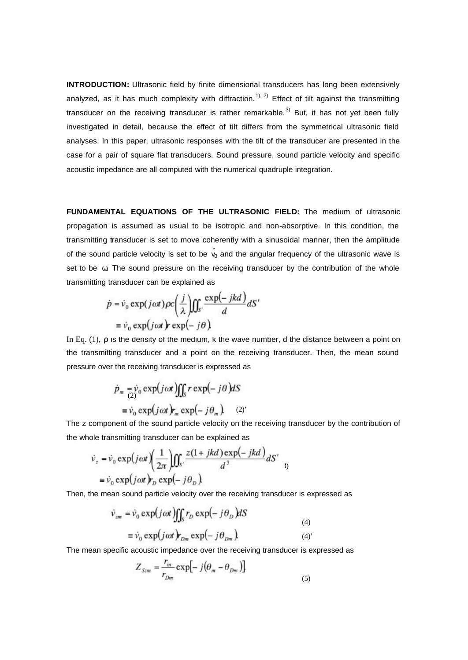**INTRODUCTION:** Ultrasonic field by finite dimensional transducers has long been extensively analyzed, as it has much complexity with diffraction.<sup>1), 2)</sup> Effect of tilt against the transmitting transducer on the receiving transducer is rather remarkable.<sup>3)</sup> But, it has not yet been fully investigated in detail, because the effect of tilt differs from the symmetrical ultrasonic field analyses. In this paper, ultrasonic responses with the tilt of the transducer are presented in the case for a pair of square flat transducers. Sound pressure, sound particle velocity and specific acoustic impedance are all computed with the numerical quadruple integration.

**FUNDAMENTAL EQUATIONS OF THE ULTRASONIC FIELD:** The medium of ultrasonic propagation is assumed as usual to be isotropic and non-absorptive. In this condition, the transmitting transducer is set to move coherently with a sinusoidal manner, then the amplitude of the sound particle velocity is set to be  $v_0$  and the angular frequency of the ultrasonic wave is set to be ω. The sound pressure on the receiving transducer by the contribution of the whole transmitting transducer can be explained as

$$
\dot{p} = \dot{v}_0 \exp(j\omega t) \rho c \left(\frac{j}{\lambda}\right) \iint_{S'} \frac{\exp(-jkd)}{d} dS'
$$

$$
= \dot{v}_0 \exp(j\omega t) \exp(-j\theta)
$$

In Eq. (1), ρ is the density of the medium, k the wave number, d the distance between a point on the transmitting transducer and a point on the receiving transducer. Then, the mean sound pressure over the receiving transducer is expressed as

$$
\dot{p}_m = \dot{v}_0 \exp(j\omega t) \iint_S r \exp(-j\theta) dS
$$

$$
= \dot{v}_0 \exp(j\omega t) r_m \exp(-j\theta_m).
$$
 (2)

The z component of the sound particle velocity on the receiving transducer by the contribution of the whole transmitting transducer can be explained as

$$
\dot{v}_z = \dot{v}_0 \exp(j\omega t) \left(\frac{1}{2\pi}\right) \iint_{S'} \frac{z(1 + jkd)\exp(-jkd)}{d^3} dS'
$$
  
=  $\dot{v}_0 \exp(j\omega t) r_D \exp(-j\theta_D)$ 

Then, the mean sound particle velocity over the receiving transducer is expressed as

$$
\dot{\nu}_{zm} = \dot{\nu}_0 \exp(j\omega t) \iint_S r_D \exp(-j\theta_D) dS
$$
\n
$$
= \dot{\nu}_0 \exp(j\omega t) r_{Dm} \exp(-j\theta_{Dm})
$$
\n(4)

The mean specific acoustic impedance over the receiving transducer is expressed as

$$
Z_{\mathit{Szm}} = \frac{r_m}{r_{\mathit{Dm}}} \exp\left[-j\left(\theta_m - \theta_{\mathit{Dm}}\right)\right] \tag{5}
$$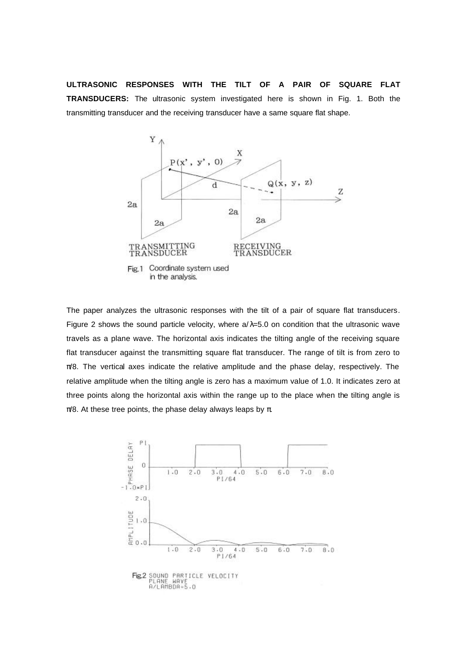**ULTRASONIC RESPONSES WITH THE TILT OF A PAIR OF SQUARE FLAT TRANSDUCERS:** The ultrasonic system investigated here is shown in Fig. 1. Both the transmitting transducer and the receiving transducer have a same square flat shape.



The paper analyzes the ultrasonic responses with the tilt of a pair of square flat transducers. Figure 2 shows the sound particle velocity, where  $a/\lambda=5.0$  on condition that the ultrasonic wave travels as a plane wave. The horizontal axis indicates the tilting angle of the receiving square flat transducer against the transmitting square flat transducer. The range of tilt is from zero to  $\pi/8$ . The vertical axes indicate the relative amplitude and the phase delay, respectively. The relative amplitude when the tilting angle is zero has a maximum value of 1.0. It indicates zero at three points along the horizontal axis within the range up to the place when the tilting angle is  $π/8$ . At these tree points, the phase delay always leaps by  $π$ .

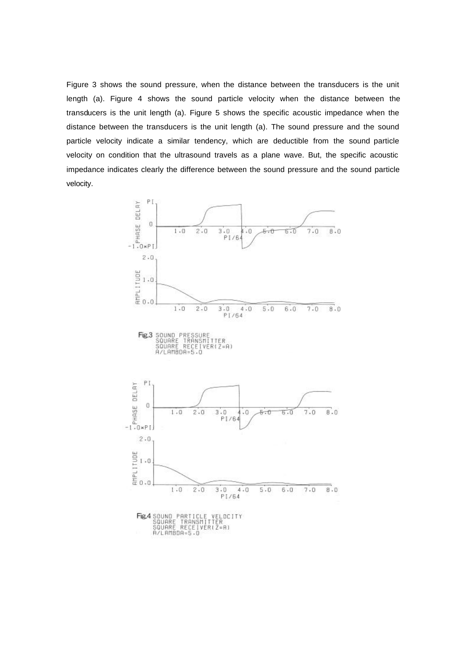Figure 3 shows the sound pressure, when the distance between the transducers is the unit length (a). Figure 4 shows the sound particle velocity when the distance between the transducers is the unit length (a). Figure 5 shows the specific acoustic impedance when the distance between the transducers is the unit length (a). The sound pressure and the sound particle velocity indicate a similar tendency, which are deductible from the sound particle velocity on condition that the ultrasound travels as a plane wave. But, the specific acoustic impedance indicates clearly the difference between the sound pressure and the sound particle velocity.

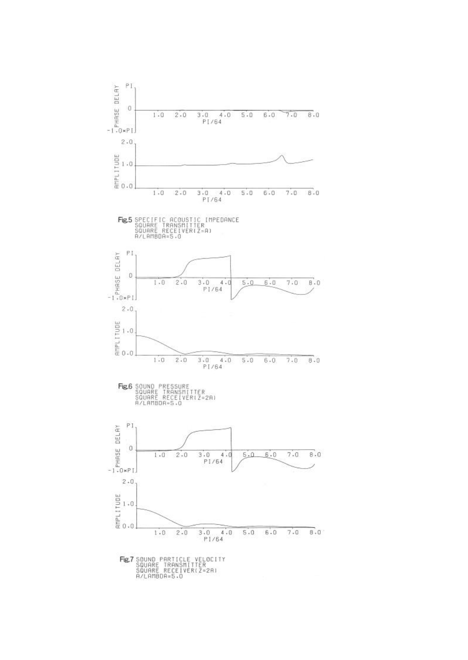